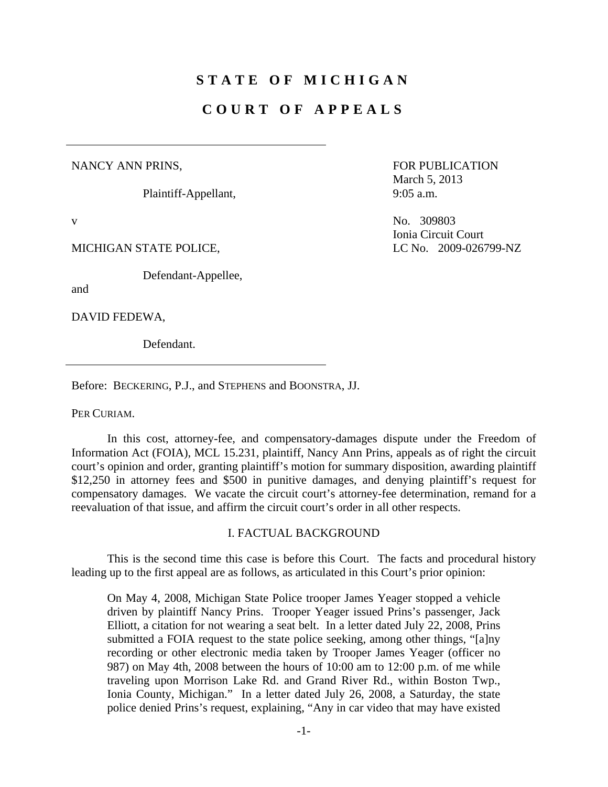# **STATE OF MICHIGAN**

## **COURT OF APPEALS**

## NANCY ANN PRINS,

Plaintiff-Appellant,

Defendant-Appellee,

and

DAVID FEDEWA,

Defendant.

Before: BECKERING, P.J., and STEPHENS and BOONSTRA, JJ.

PER CURIAM.

 In this cost, attorney-fee, and compensatory-damages dispute under the Freedom of Information Act (FOIA), MCL 15.231, plaintiff, Nancy Ann Prins, appeals as of right the circuit court's opinion and order, granting plaintiff's motion for summary disposition, awarding plaintiff \$12,250 in attorney fees and \$500 in punitive damages, and denying plaintiff's request for compensatory damages. We vacate the circuit court's attorney-fee determination, remand for a reevaluation of that issue, and affirm the circuit court's order in all other respects.

#### I. FACTUAL BACKGROUND

 This is the second time this case is before this Court. The facts and procedural history leading up to the first appeal are as follows, as articulated in this Court's prior opinion:

On May 4, 2008, Michigan State Police trooper James Yeager stopped a vehicle driven by plaintiff Nancy Prins. Trooper Yeager issued Prins's passenger, Jack Elliott, a citation for not wearing a seat belt. In a letter dated July 22, 2008, Prins submitted a FOIA request to the state police seeking, among other things, "[a]ny recording or other electronic media taken by Trooper James Yeager (officer no 987) on May 4th, 2008 between the hours of 10:00 am to 12:00 p.m. of me while traveling upon Morrison Lake Rd. and Grand River Rd., within Boston Twp., Ionia County, Michigan." In a letter dated July 26, 2008, a Saturday, the state police denied Prins's request, explaining, "Any in car video that may have existed

FOR PUBLICATION March 5, 2013 9:05 a.m.

v No. 309803 Ionia Circuit Court MICHIGAN STATE POLICE, LC No. 2009-026799-NZ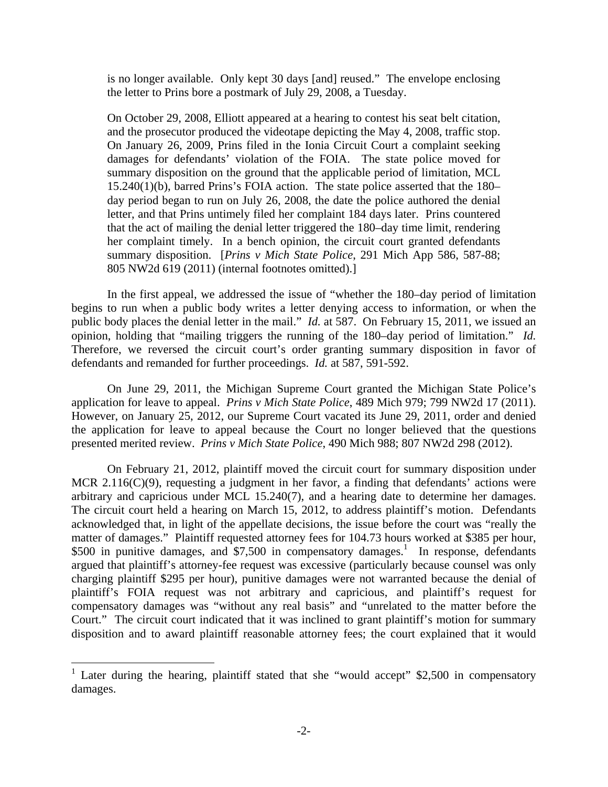is no longer available. Only kept 30 days [and] reused." The envelope enclosing the letter to Prins bore a postmark of July 29, 2008, a Tuesday.

On October 29, 2008, Elliott appeared at a hearing to contest his seat belt citation, and the prosecutor produced the videotape depicting the May 4, 2008, traffic stop. On January 26, 2009, Prins filed in the Ionia Circuit Court a complaint seeking damages for defendants' violation of the FOIA. The state police moved for summary disposition on the ground that the applicable period of limitation, MCL 15.240(1)(b), barred Prins's FOIA action. The state police asserted that the 180– day period began to run on July 26, 2008, the date the police authored the denial letter, and that Prins untimely filed her complaint 184 days later. Prins countered that the act of mailing the denial letter triggered the 180–day time limit, rendering her complaint timely. In a bench opinion, the circuit court granted defendants summary disposition. [*Prins v Mich State Police*, 291 Mich App 586, 587-88; 805 NW2d 619 (2011) (internal footnotes omitted).]

 In the first appeal, we addressed the issue of "whether the 180–day period of limitation begins to run when a public body writes a letter denying access to information, or when the public body places the denial letter in the mail." *Id.* at 587. On February 15, 2011, we issued an opinion, holding that "mailing triggers the running of the 180–day period of limitation." *Id.* Therefore, we reversed the circuit court's order granting summary disposition in favor of defendants and remanded for further proceedings. *Id.* at 587, 591-592.

 On June 29, 2011, the Michigan Supreme Court granted the Michigan State Police's application for leave to appeal. *Prins v Mich State Police*, 489 Mich 979; 799 NW2d 17 (2011). However, on January 25, 2012, our Supreme Court vacated its June 29, 2011, order and denied the application for leave to appeal because the Court no longer believed that the questions presented merited review. *Prins v Mich State Police*, 490 Mich 988; 807 NW2d 298 (2012).

 On February 21, 2012, plaintiff moved the circuit court for summary disposition under MCR 2.116(C)(9), requesting a judgment in her favor, a finding that defendants' actions were arbitrary and capricious under MCL 15.240(7), and a hearing date to determine her damages. The circuit court held a hearing on March 15, 2012, to address plaintiff's motion. Defendants acknowledged that, in light of the appellate decisions, the issue before the court was "really the matter of damages." Plaintiff requested attorney fees for 104.73 hours worked at \$385 per hour, \$500 in punitive damages, and  $$7,500$  in compensatory damages.<sup>1</sup> In response, defendants argued that plaintiff's attorney-fee request was excessive (particularly because counsel was only charging plaintiff \$295 per hour), punitive damages were not warranted because the denial of plaintiff's FOIA request was not arbitrary and capricious, and plaintiff's request for compensatory damages was "without any real basis" and "unrelated to the matter before the Court." The circuit court indicated that it was inclined to grant plaintiff's motion for summary disposition and to award plaintiff reasonable attorney fees; the court explained that it would

1

<sup>&</sup>lt;sup>1</sup> Later during the hearing, plaintiff stated that she "would accept" \$2,500 in compensatory damages.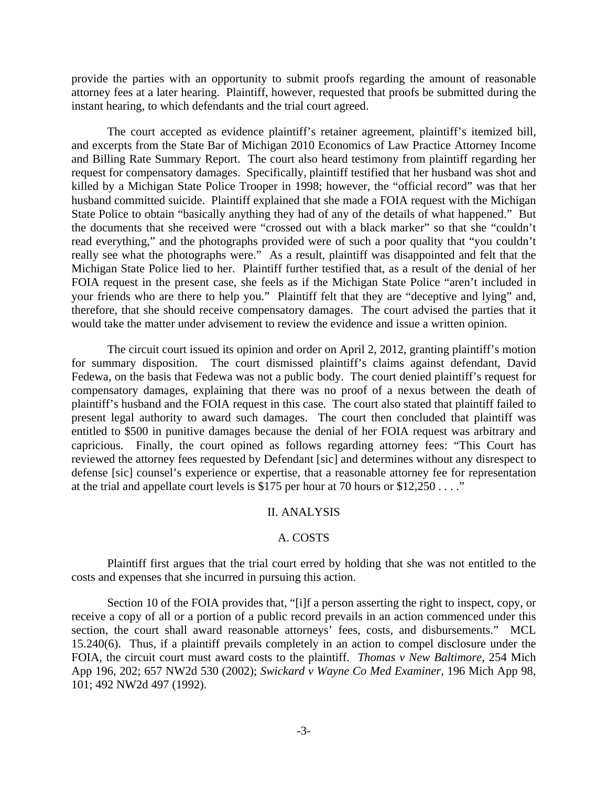provide the parties with an opportunity to submit proofs regarding the amount of reasonable attorney fees at a later hearing. Plaintiff, however, requested that proofs be submitted during the instant hearing, to which defendants and the trial court agreed.

 The court accepted as evidence plaintiff's retainer agreement, plaintiff's itemized bill, and excerpts from the State Bar of Michigan 2010 Economics of Law Practice Attorney Income and Billing Rate Summary Report. The court also heard testimony from plaintiff regarding her request for compensatory damages. Specifically, plaintiff testified that her husband was shot and killed by a Michigan State Police Trooper in 1998; however, the "official record" was that her husband committed suicide. Plaintiff explained that she made a FOIA request with the Michigan State Police to obtain "basically anything they had of any of the details of what happened." But the documents that she received were "crossed out with a black marker" so that she "couldn't read everything," and the photographs provided were of such a poor quality that "you couldn't really see what the photographs were." As a result, plaintiff was disappointed and felt that the Michigan State Police lied to her. Plaintiff further testified that, as a result of the denial of her FOIA request in the present case, she feels as if the Michigan State Police "aren't included in your friends who are there to help you." Plaintiff felt that they are "deceptive and lying" and, therefore, that she should receive compensatory damages. The court advised the parties that it would take the matter under advisement to review the evidence and issue a written opinion.

 The circuit court issued its opinion and order on April 2, 2012, granting plaintiff's motion for summary disposition. The court dismissed plaintiff's claims against defendant, David Fedewa, on the basis that Fedewa was not a public body. The court denied plaintiff's request for compensatory damages, explaining that there was no proof of a nexus between the death of plaintiff's husband and the FOIA request in this case. The court also stated that plaintiff failed to present legal authority to award such damages. The court then concluded that plaintiff was entitled to \$500 in punitive damages because the denial of her FOIA request was arbitrary and capricious. Finally, the court opined as follows regarding attorney fees: "This Court has reviewed the attorney fees requested by Defendant [sic] and determines without any disrespect to defense [sic] counsel's experience or expertise, that a reasonable attorney fee for representation at the trial and appellate court levels is \$175 per hour at 70 hours or \$12,250 . . . ."

#### II. ANALYSIS

#### A. COSTS

 Plaintiff first argues that the trial court erred by holding that she was not entitled to the costs and expenses that she incurred in pursuing this action.

 Section 10 of the FOIA provides that, "[i]f a person asserting the right to inspect, copy, or receive a copy of all or a portion of a public record prevails in an action commenced under this section, the court shall award reasonable attorneys' fees, costs, and disbursements." MCL 15.240(6). Thus, if a plaintiff prevails completely in an action to compel disclosure under the FOIA, the circuit court must award costs to the plaintiff. *Thomas v New Baltimore*, 254 Mich App 196, 202; 657 NW2d 530 (2002); *Swickard v Wayne Co Med Examiner*, 196 Mich App 98, 101; 492 NW2d 497 (1992).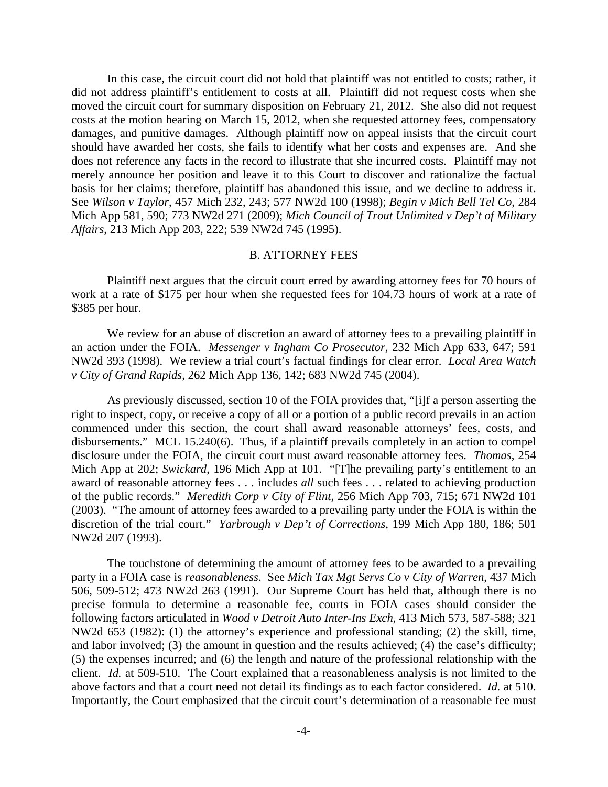In this case, the circuit court did not hold that plaintiff was not entitled to costs; rather, it did not address plaintiff's entitlement to costs at all. Plaintiff did not request costs when she moved the circuit court for summary disposition on February 21, 2012. She also did not request costs at the motion hearing on March 15, 2012, when she requested attorney fees, compensatory damages, and punitive damages. Although plaintiff now on appeal insists that the circuit court should have awarded her costs, she fails to identify what her costs and expenses are. And she does not reference any facts in the record to illustrate that she incurred costs. Plaintiff may not merely announce her position and leave it to this Court to discover and rationalize the factual basis for her claims; therefore, plaintiff has abandoned this issue, and we decline to address it. See *Wilson v Taylor*, 457 Mich 232, 243; 577 NW2d 100 (1998); *Begin v Mich Bell Tel Co*, 284 Mich App 581, 590; 773 NW2d 271 (2009); *Mich Council of Trout Unlimited v Dep't of Military Affairs*, 213 Mich App 203, 222; 539 NW2d 745 (1995).

#### B. ATTORNEY FEES

 Plaintiff next argues that the circuit court erred by awarding attorney fees for 70 hours of work at a rate of \$175 per hour when she requested fees for 104.73 hours of work at a rate of \$385 per hour.

 We review for an abuse of discretion an award of attorney fees to a prevailing plaintiff in an action under the FOIA. *Messenger v Ingham Co Prosecutor*, 232 Mich App 633, 647; 591 NW2d 393 (1998). We review a trial court's factual findings for clear error. *Local Area Watch v City of Grand Rapids*, 262 Mich App 136, 142; 683 NW2d 745 (2004).

 As previously discussed, section 10 of the FOIA provides that, "[i]f a person asserting the right to inspect, copy, or receive a copy of all or a portion of a public record prevails in an action commenced under this section, the court shall award reasonable attorneys' fees, costs, and disbursements." MCL 15.240(6). Thus, if a plaintiff prevails completely in an action to compel disclosure under the FOIA, the circuit court must award reasonable attorney fees. *Thomas*, 254 Mich App at 202; *Swickard*, 196 Mich App at 101. "[T]he prevailing party's entitlement to an award of reasonable attorney fees . . . includes *all* such fees . . . related to achieving production of the public records." *Meredith Corp v City of Flint*, 256 Mich App 703, 715; 671 NW2d 101 (2003). "The amount of attorney fees awarded to a prevailing party under the FOIA is within the discretion of the trial court." *Yarbrough v Dep't of Corrections*, 199 Mich App 180, 186; 501 NW2d 207 (1993).

 The touchstone of determining the amount of attorney fees to be awarded to a prevailing party in a FOIA case is *reasonableness*. See *Mich Tax Mgt Servs Co v City of Warren*, 437 Mich 506, 509-512; 473 NW2d 263 (1991). Our Supreme Court has held that, although there is no precise formula to determine a reasonable fee, courts in FOIA cases should consider the following factors articulated in *Wood v Detroit Auto Inter-Ins Exch*, 413 Mich 573, 587-588; 321 NW2d 653 (1982): (1) the attorney's experience and professional standing; (2) the skill, time, and labor involved; (3) the amount in question and the results achieved; (4) the case's difficulty; (5) the expenses incurred; and (6) the length and nature of the professional relationship with the client. *Id.* at 509-510. The Court explained that a reasonableness analysis is not limited to the above factors and that a court need not detail its findings as to each factor considered. *Id.* at 510. Importantly, the Court emphasized that the circuit court's determination of a reasonable fee must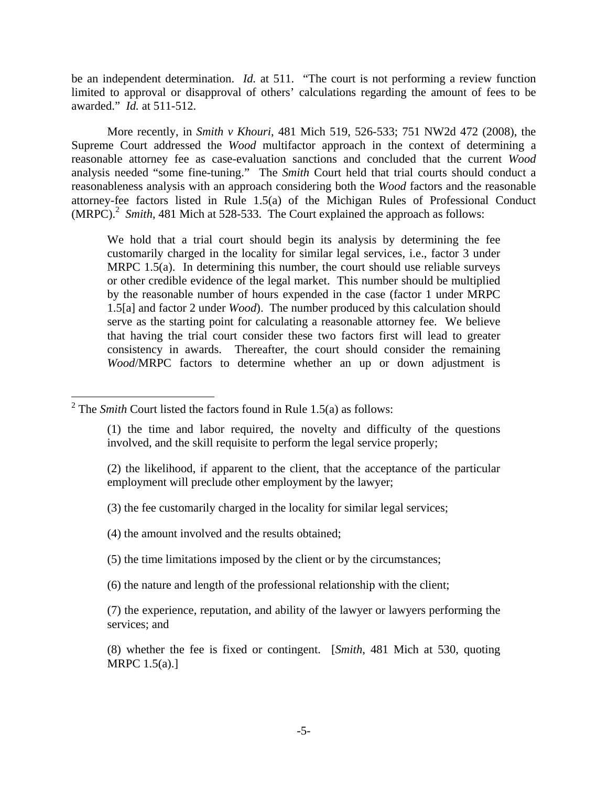be an independent determination. *Id.* at 511. "The court is not performing a review function limited to approval or disapproval of others' calculations regarding the amount of fees to be awarded." *Id.* at 511-512.

 More recently, in *Smith v Khouri*, 481 Mich 519, 526-533; 751 NW2d 472 (2008), the Supreme Court addressed the *Wood* multifactor approach in the context of determining a reasonable attorney fee as case-evaluation sanctions and concluded that the current *Wood* analysis needed "some fine-tuning." The *Smith* Court held that trial courts should conduct a reasonableness analysis with an approach considering both the *Wood* factors and the reasonable attorney-fee factors listed in Rule 1.5(a) of the Michigan Rules of Professional Conduct  $(MRPC)<sup>2</sup>$  *Smith*, 481 Mich at 528-533. The Court explained the approach as follows:

We hold that a trial court should begin its analysis by determining the fee customarily charged in the locality for similar legal services, i.e., factor 3 under MRPC 1.5(a). In determining this number, the court should use reliable surveys or other credible evidence of the legal market. This number should be multiplied by the reasonable number of hours expended in the case (factor 1 under MRPC 1.5[a] and factor 2 under *Wood*). The number produced by this calculation should serve as the starting point for calculating a reasonable attorney fee. We believe that having the trial court consider these two factors first will lead to greater consistency in awards. Thereafter, the court should consider the remaining *Wood*/MRPC factors to determine whether an up or down adjustment is

1

(2) the likelihood, if apparent to the client, that the acceptance of the particular employment will preclude other employment by the lawyer;

(3) the fee customarily charged in the locality for similar legal services;

(4) the amount involved and the results obtained;

(5) the time limitations imposed by the client or by the circumstances;

(6) the nature and length of the professional relationship with the client;

(7) the experience, reputation, and ability of the lawyer or lawyers performing the services; and

(8) whether the fee is fixed or contingent. [*Smith*, 481 Mich at 530, quoting MRPC 1.5(a).]

<sup>&</sup>lt;sup>2</sup> The *Smith* Court listed the factors found in Rule 1.5(a) as follows:

<sup>(1)</sup> the time and labor required, the novelty and difficulty of the questions involved, and the skill requisite to perform the legal service properly;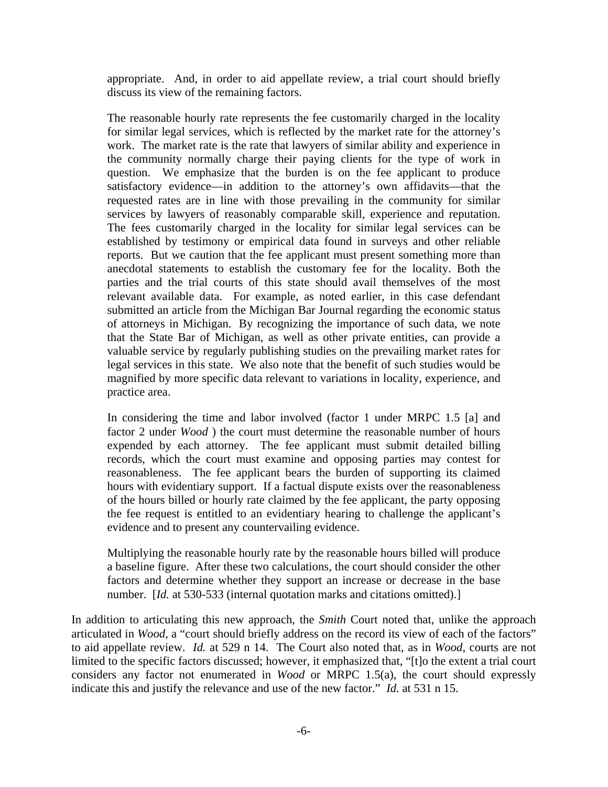appropriate. And, in order to aid appellate review, a trial court should briefly discuss its view of the remaining factors.

The reasonable hourly rate represents the fee customarily charged in the locality for similar legal services, which is reflected by the market rate for the attorney's work. The market rate is the rate that lawyers of similar ability and experience in the community normally charge their paying clients for the type of work in question. We emphasize that the burden is on the fee applicant to produce satisfactory evidence—in addition to the attorney's own affidavits—that the requested rates are in line with those prevailing in the community for similar services by lawyers of reasonably comparable skill, experience and reputation. The fees customarily charged in the locality for similar legal services can be established by testimony or empirical data found in surveys and other reliable reports. But we caution that the fee applicant must present something more than anecdotal statements to establish the customary fee for the locality. Both the parties and the trial courts of this state should avail themselves of the most relevant available data. For example, as noted earlier, in this case defendant submitted an article from the Michigan Bar Journal regarding the economic status of attorneys in Michigan. By recognizing the importance of such data, we note that the State Bar of Michigan, as well as other private entities, can provide a valuable service by regularly publishing studies on the prevailing market rates for legal services in this state. We also note that the benefit of such studies would be magnified by more specific data relevant to variations in locality, experience, and practice area.

In considering the time and labor involved (factor 1 under MRPC 1.5 [a] and factor 2 under *Wood* ) the court must determine the reasonable number of hours expended by each attorney. The fee applicant must submit detailed billing records, which the court must examine and opposing parties may contest for reasonableness. The fee applicant bears the burden of supporting its claimed hours with evidentiary support. If a factual dispute exists over the reasonableness of the hours billed or hourly rate claimed by the fee applicant, the party opposing the fee request is entitled to an evidentiary hearing to challenge the applicant's evidence and to present any countervailing evidence.

Multiplying the reasonable hourly rate by the reasonable hours billed will produce a baseline figure. After these two calculations, the court should consider the other factors and determine whether they support an increase or decrease in the base number. [*Id.* at 530-533 (internal quotation marks and citations omitted).]

In addition to articulating this new approach, the *Smith* Court noted that, unlike the approach articulated in *Wood*, a "court should briefly address on the record its view of each of the factors" to aid appellate review. *Id.* at 529 n 14. The Court also noted that, as in *Wood*, courts are not limited to the specific factors discussed; however, it emphasized that, "[t]o the extent a trial court considers any factor not enumerated in *Wood* or MRPC 1.5(a), the court should expressly indicate this and justify the relevance and use of the new factor." *Id.* at 531 n 15.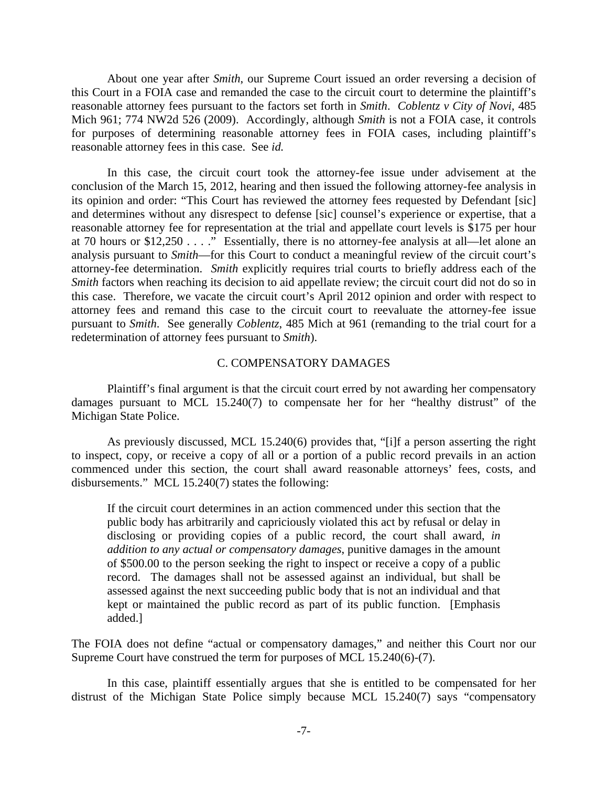About one year after *Smith*, our Supreme Court issued an order reversing a decision of this Court in a FOIA case and remanded the case to the circuit court to determine the plaintiff's reasonable attorney fees pursuant to the factors set forth in *Smith*. *Coblentz v City of Novi*, 485 Mich 961; 774 NW2d 526 (2009). Accordingly, although *Smith* is not a FOIA case, it controls for purposes of determining reasonable attorney fees in FOIA cases, including plaintiff's reasonable attorney fees in this case. See *id.*

 In this case, the circuit court took the attorney-fee issue under advisement at the conclusion of the March 15, 2012, hearing and then issued the following attorney-fee analysis in its opinion and order: "This Court has reviewed the attorney fees requested by Defendant [sic] and determines without any disrespect to defense [sic] counsel's experience or expertise, that a reasonable attorney fee for representation at the trial and appellate court levels is \$175 per hour at 70 hours or \$12,250 . . . ." Essentially, there is no attorney-fee analysis at all—let alone an analysis pursuant to *Smith*—for this Court to conduct a meaningful review of the circuit court's attorney-fee determination. *Smith* explicitly requires trial courts to briefly address each of the *Smith* factors when reaching its decision to aid appellate review; the circuit court did not do so in this case. Therefore, we vacate the circuit court's April 2012 opinion and order with respect to attorney fees and remand this case to the circuit court to reevaluate the attorney-fee issue pursuant to *Smith*. See generally *Coblentz*, 485 Mich at 961 (remanding to the trial court for a redetermination of attorney fees pursuant to *Smith*).

### C. COMPENSATORY DAMAGES

 Plaintiff's final argument is that the circuit court erred by not awarding her compensatory damages pursuant to MCL 15.240(7) to compensate her for her "healthy distrust" of the Michigan State Police.

 As previously discussed, MCL 15.240(6) provides that, "[i]f a person asserting the right to inspect, copy, or receive a copy of all or a portion of a public record prevails in an action commenced under this section, the court shall award reasonable attorneys' fees, costs, and disbursements." MCL 15.240(7) states the following:

If the circuit court determines in an action commenced under this section that the public body has arbitrarily and capriciously violated this act by refusal or delay in disclosing or providing copies of a public record, the court shall award, *in addition to any actual or compensatory damages*, punitive damages in the amount of \$500.00 to the person seeking the right to inspect or receive a copy of a public record. The damages shall not be assessed against an individual, but shall be assessed against the next succeeding public body that is not an individual and that kept or maintained the public record as part of its public function. [Emphasis added.]

The FOIA does not define "actual or compensatory damages," and neither this Court nor our Supreme Court have construed the term for purposes of MCL 15.240(6)-(7).

 In this case, plaintiff essentially argues that she is entitled to be compensated for her distrust of the Michigan State Police simply because MCL 15.240(7) says "compensatory